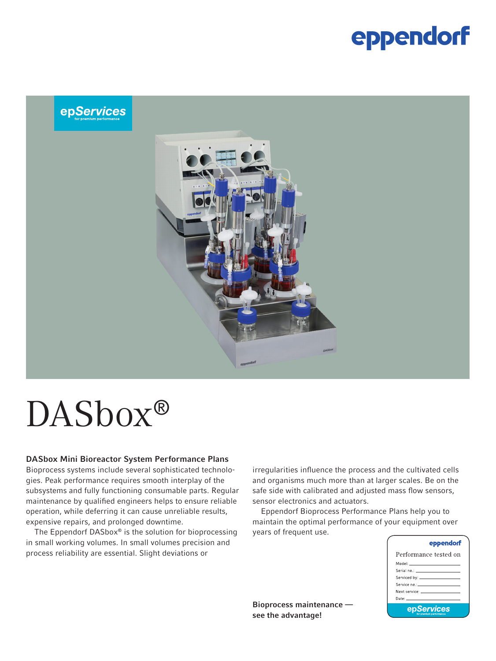## eppendorf

### epServices



#### DASbox Mini Bioreactor System Performance Plans

Bioprocess systems include several sophisticated technologies. Peak performance requires smooth interplay of the subsystems and fully functioning consumable parts. Regular maintenance by qualified engineers helps to ensure reliable operation, while deferring it can cause unreliable results, expensive repairs, and prolonged downtime.

The Eppendorf DASbox® is the solution for bioprocessing in small working volumes. In small volumes precision and process reliability are essential. Slight deviations or

irregularities influence the process and the cultivated cells and organisms much more than at larger scales. Be on the safe side with calibrated and adjusted mass flow sensors, sensor electronics and actuators.

Eppendorf Bioprocess Performance Plans help you to maintain the optimal performance of your equipment over years of frequent use.

| eppendorf                                                                                                                                                                                                                     |  |
|-------------------------------------------------------------------------------------------------------------------------------------------------------------------------------------------------------------------------------|--|
| Performance tested on                                                                                                                                                                                                         |  |
| Model: ______________________                                                                                                                                                                                                 |  |
|                                                                                                                                                                                                                               |  |
|                                                                                                                                                                                                                               |  |
|                                                                                                                                                                                                                               |  |
| Next service: The contract of the contract of the contract of the contract of the contract of the contract of the contract of the contract of the contract of the contract of the contract of the contract of the contract of |  |
|                                                                                                                                                                                                                               |  |
| epServices<br>face menomen und macefacend auch an                                                                                                                                                                             |  |

Bioprocess maintenance see the advantage!